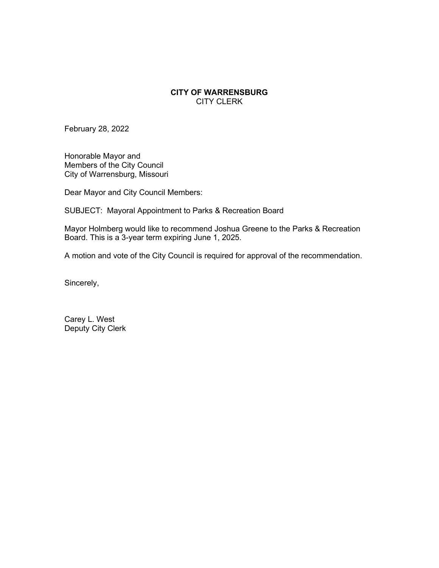## **CITY OF WARRENSBURG** CITY CLERK

February 28, 2022

Honorable Mayor and Members of the City Council City of Warrensburg, Missouri

Dear Mayor and City Council Members:

SUBJECT: Mayoral Appointment to Parks & Recreation Board

Mayor Holmberg would like to recommend Joshua Greene to the Parks & Recreation Board. This is a 3-year term expiring June 1, 2025.

A motion and vote of the City Council is required for approval of the recommendation.

Sincerely,

Carey L. West Deputy City Clerk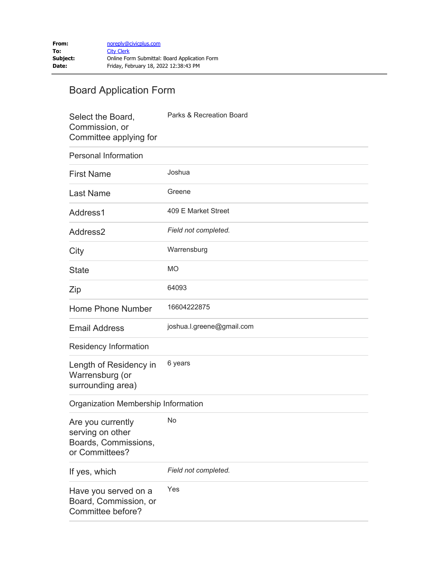## Board Application Form

| Select the Board,<br>Commission, or<br>Committee applying for                   | Parks & Recreation Board  |
|---------------------------------------------------------------------------------|---------------------------|
| <b>Personal Information</b>                                                     |                           |
| <b>First Name</b>                                                               | Joshua                    |
| <b>Last Name</b>                                                                | Greene                    |
| Address1                                                                        | 409 E Market Street       |
| Address <sub>2</sub>                                                            | Field not completed.      |
| City                                                                            | Warrensburg               |
| <b>State</b>                                                                    | <b>MO</b>                 |
| Zip                                                                             | 64093                     |
| <b>Home Phone Number</b>                                                        | 16604222875               |
| <b>Email Address</b>                                                            | joshua.l.greene@gmail.com |
| Residency Information                                                           |                           |
| Length of Residency in<br>Warrensburg (or<br>surrounding area)                  | 6 years                   |
| Organization Membership Information                                             |                           |
| Are you currently<br>serving on other<br>Boards, Commissions,<br>or Committees? | No                        |
| If yes, which                                                                   | Field not completed.      |
| Have you served on a<br>Board, Commission, or<br>Committee before?              | Yes                       |